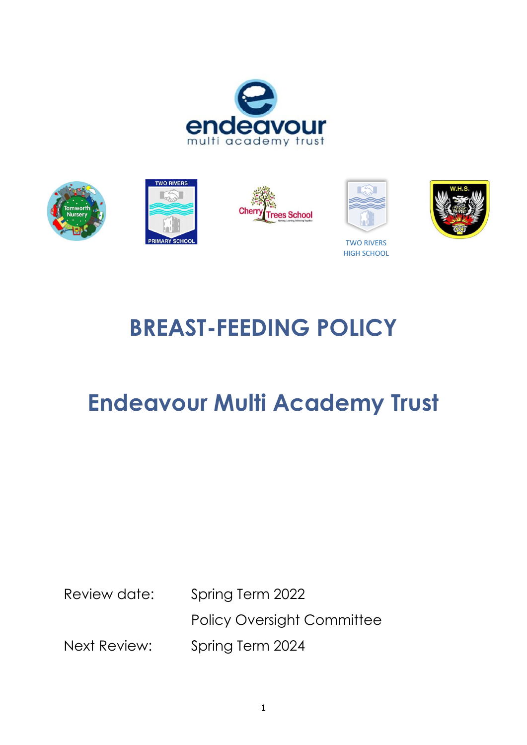





HIGH SCHOOL

# **BREAST-FEEDING POLICY**

## **Endeavour Multi Academy Trust**

Review date: Spring Term 2022

Policy Oversight Committee Next Review: Spring Term 2024

1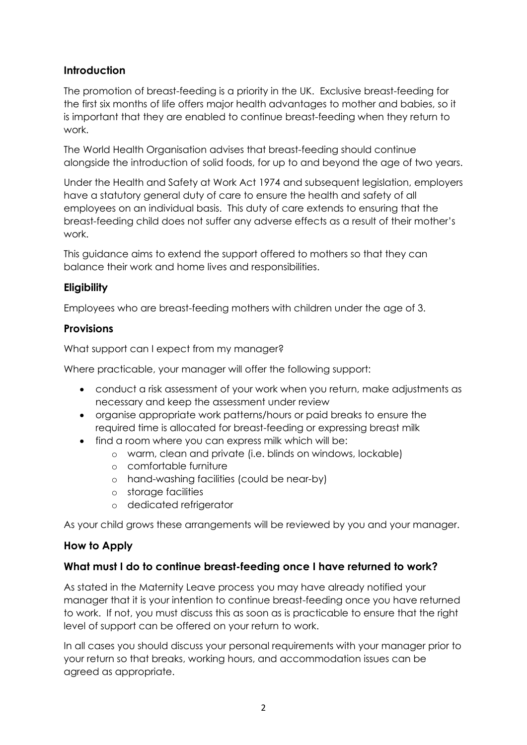## **Introduction**

The promotion of breast-feeding is a priority in the UK. Exclusive breast-feeding for the first six months of life offers major health advantages to mother and babies, so it is important that they are enabled to continue breast-feeding when they return to work.

The World Health Organisation advises that breast-feeding should continue alongside the introduction of solid foods, for up to and beyond the age of two years.

Under the Health and Safety at Work Act 1974 and subsequent legislation, employers have a statutory general duty of care to ensure the health and safety of all employees on an individual basis. This duty of care extends to ensuring that the breast-feeding child does not suffer any adverse effects as a result of their mother's work.

This guidance aims to extend the support offered to mothers so that they can balance their work and home lives and responsibilities.

### **Eligibility**

Employees who are breast-feeding mothers with children under the age of 3.

### **Provisions**

What support can I expect from my manager?

Where practicable, your manager will offer the following support:

- conduct a risk assessment of your work when you return, make adjustments as necessary and keep the assessment under review
- organise appropriate work patterns/hours or paid breaks to ensure the required time is allocated for breast-feeding or expressing breast milk
- find a room where you can express milk which will be:
	- o warm, clean and private (i.e. blinds on windows, lockable)
	- o comfortable furniture
	- o hand-washing facilities (could be near-by)
	- o storage facilities
	- o dedicated refrigerator

As your child grows these arrangements will be reviewed by you and your manager.

## **How to Apply**

#### **What must I do to continue breast-feeding once I have returned to work?**

As stated in the Maternity Leave process you may have already notified your manager that it is your intention to continue breast-feeding once you have returned to work. If not, you must discuss this as soon as is practicable to ensure that the right level of support can be offered on your return to work.

In all cases you should discuss your personal requirements with your manager prior to your return so that breaks, working hours, and accommodation issues can be agreed as appropriate.